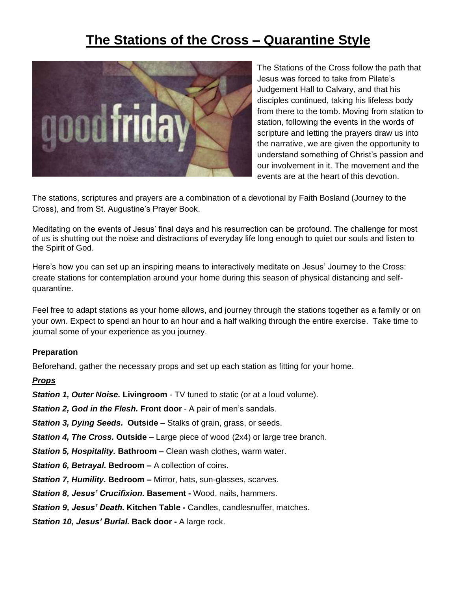## **The Stations of the Cross – Quarantine Style**



The Stations of the Cross follow the path that Jesus was forced to take from Pilate's Judgement Hall to Calvary, and that his disciples continued, taking his lifeless body from there to the tomb. Moving from station to station, following the events in the words of scripture and letting the prayers draw us into the narrative, we are given the opportunity to understand something of Christ's passion and our involvement in it. The movement and the events are at the heart of this devotion.

The stations, scriptures and prayers are a combination of a devotional by Faith Bosland (Journey to the Cross), and from St. Augustine's Prayer Book.

Meditating on the events of Jesus' final days and his resurrection can be profound. The challenge for most of us is shutting out the noise and distractions of everyday life long enough to quiet our souls and listen to the Spirit of God.

Here's how you can set up an inspiring means to interactively meditate on Jesus' Journey to the Cross: create stations for contemplation around your home during this season of physical distancing and selfquarantine.

Feel free to adapt stations as your home allows, and journey through the stations together as a family or on your own. Expect to spend an hour to an hour and a half walking through the entire exercise. Take time to journal some of your experience as you journey.

#### **Preparation**

Beforehand, gather the necessary props and set up each station as fitting for your home.

### *Props*

**Station 1, Outer Noise. Livingroom** - TV tuned to static (or at a loud volume).

*Station 2, God in the Flesh.* **Front door** - A pair of men's sandals.

*Station 3, Dying Seeds.* **Outside** – Stalks of grain, grass, or seeds.

**Station 4, The Cross. Outside** – Large piece of wood (2x4) or large tree branch.

*Station 5, Hospitality.* **Bathroom –** Clean wash clothes, warm water.

*Station 6, Betrayal.* **Bedroom –** A collection of coins.

*Station 7, Humility.* **Bedroom –** Mirror, hats, sun-glasses, scarves.

*Station 8, Jesus' Crucifixion.* **Basement -** Wood, nails, hammers.

*Station 9, Jesus' Death.* **Kitchen Table -** Candles, candlesnuffer, matches.

*Station 10, Jesus' Burial.* **Back door -** A large rock.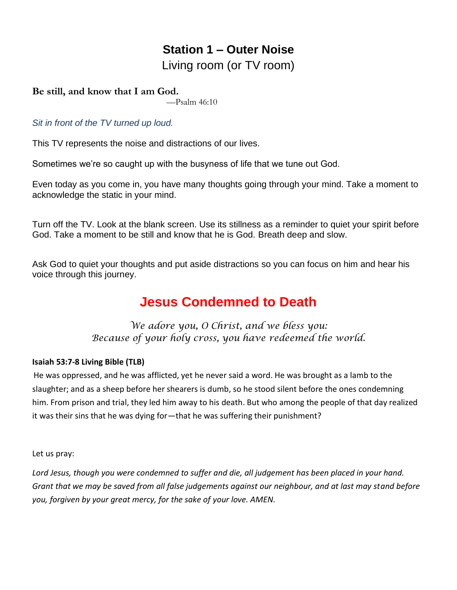## **Station 1 – Outer Noise**

Living room (or TV room)

### **Be still, and know that I am God.**

—Psalm 46:10

### *Sit in front of the TV turned up loud.*

This TV represents the noise and distractions of our lives.

Sometimes we're so caught up with the busyness of life that we tune out God.

Even today as you come in, you have many thoughts going through your mind. Take a moment to acknowledge the static in your mind.

Turn off the TV. Look at the blank screen. Use its stillness as a reminder to quiet your spirit before God. Take a moment to be still and know that he is God. Breath deep and slow.

Ask God to quiet your thoughts and put aside distractions so you can focus on him and hear his voice through this journey.

## **Jesus Condemned to Death**

*We adore you, O Christ, and we bless you: Because of your holy cross, you have redeemed the world.*

### **Isaiah 53:7-8 Living Bible (TLB)**

He was oppressed, and he was afflicted, yet he never said a word. He was brought as a lamb to the slaughter; and as a sheep before her shearers is dumb, so he stood silent before the ones condemning him. From prison and trial, they led him away to his death. But who among the people of that day realized it was their sins that he was dying for—that he was suffering their punishment?

Let us pray:

*Lord Jesus, though you were condemned to suffer and die, all judgement has been placed in your hand. Grant that we may be saved from all false judgements against our neighbour, and at last may stand before you, forgiven by your great mercy, for the sake of your love. AMEN.*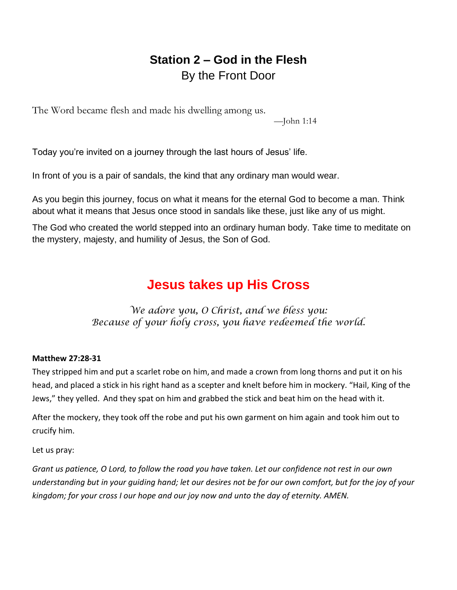## **Station 2 – God in the Flesh** By the Front Door

The Word became flesh and made his dwelling among us.

—John 1:14

Today you're invited on a journey through the last hours of Jesus' life.

In front of you is a pair of sandals, the kind that any ordinary man would wear.

As you begin this journey, focus on what it means for the eternal God to become a man. Think about what it means that Jesus once stood in sandals like these, just like any of us might.

The God who created the world stepped into an ordinary human body. Take time to meditate on the mystery, majesty, and humility of Jesus, the Son of God.

## **Jesus takes up His Cross**

*We adore you, O Christ, and we bless you: Because of your holy cross, you have redeemed the world.*

### **Matthew 27:28-31**

They stripped him and put a scarlet robe on him, and made a crown from long thorns and put it on his head, and placed a stick in his right hand as a scepter and knelt before him in mockery. "Hail, King of the Jews," they yelled. And they spat on him and grabbed the stick and beat him on the head with it.

After the mockery, they took off the robe and put his own garment on him again and took him out to crucify him.

Let us pray:

*Grant us patience, O Lord, to follow the road you have taken. Let our confidence not rest in our own understanding but in your guiding hand; let our desires not be for our own comfort, but for the joy of your kingdom; for your cross I our hope and our joy now and unto the day of eternity. AMEN.*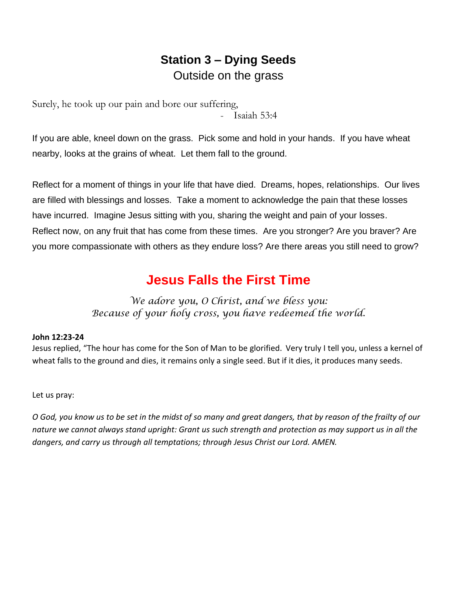## **Station 3 – Dying Seeds** Outside on the grass

Surely, he took up our pain and bore our suffering,

- Isaiah 53:4

If you are able, kneel down on the grass. Pick some and hold in your hands. If you have wheat nearby, looks at the grains of wheat. Let them fall to the ground.

Reflect for a moment of things in your life that have died. Dreams, hopes, relationships. Our lives are filled with blessings and losses. Take a moment to acknowledge the pain that these losses have incurred. Imagine Jesus sitting with you, sharing the weight and pain of your losses. Reflect now, on any fruit that has come from these times. Are you stronger? Are you braver? Are you more compassionate with others as they endure loss? Are there areas you still need to grow?

## **Jesus Falls the First Time**

*We adore you, O Christ, and we bless you: Because of your holy cross, you have redeemed the world.*

### **John 12:23-24**

Jesus replied, "The hour has come for the Son of Man to be glorified. Very truly I tell you, unless a kernel of wheat falls to the ground and dies, it remains only a single seed. But if it dies, it produces many seeds.

Let us pray:

*O God, you know us to be set in the midst of so many and great dangers, that by reason of the frailty of our nature we cannot always stand upright: Grant us such strength and protection as may support us in all the dangers, and carry us through all temptations; through Jesus Christ our Lord. AMEN.*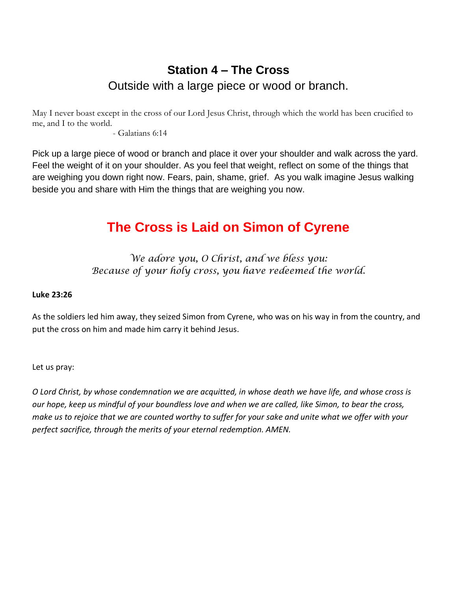## **Station 4 – The Cross** Outside with a large piece or wood or branch.

May I never boast except in the cross of our Lord Jesus Christ, through which the world has been crucified to me, and I to the world.

- Galatians 6:14

Pick up a large piece of wood or branch and place it over your shoulder and walk across the yard. Feel the weight of it on your shoulder. As you feel that weight, reflect on some of the things that are weighing you down right now. Fears, pain, shame, grief. As you walk imagine Jesus walking beside you and share with Him the things that are weighing you now.

## **The Cross is Laid on Simon of Cyrene**

*We adore you, O Christ, and we bless you: Because of your holy cross, you have redeemed the world.*

#### **Luke 23:26**

As the soldiers led him away, they seized Simon from Cyrene, who was on his way in from the country, and put the cross on him and made him carry it behind Jesus.

Let us pray:

*O Lord Christ, by whose condemnation we are acquitted, in whose death we have life, and whose cross is our hope, keep us mindful of your boundless love and when we are called, like Simon, to bear the cross, make us to rejoice that we are counted worthy to suffer for your sake and unite what we offer with your perfect sacrifice, through the merits of your eternal redemption. AMEN.*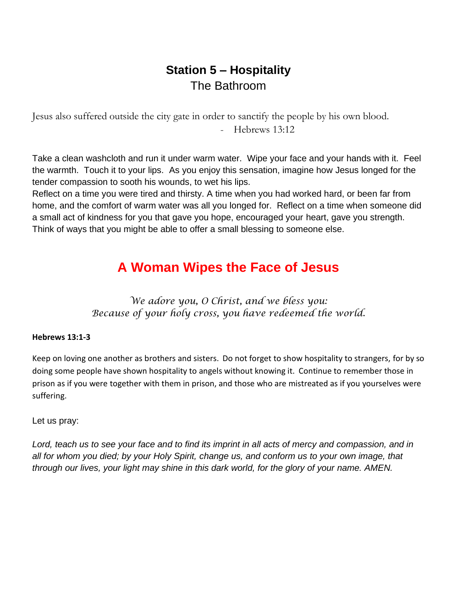## **Station 5 – Hospitality** The Bathroom

Jesus also suffered outside the city gate in order to sanctify the people by his own blood. - Hebrews 13:12

Take a clean washcloth and run it under warm water. Wipe your face and your hands with it. Feel the warmth. Touch it to your lips. As you enjoy this sensation, imagine how Jesus longed for the tender compassion to sooth his wounds, to wet his lips.

Reflect on a time you were tired and thirsty. A time when you had worked hard, or been far from home, and the comfort of warm water was all you longed for. Reflect on a time when someone did a small act of kindness for you that gave you hope, encouraged your heart, gave you strength. Think of ways that you might be able to offer a small blessing to someone else.

## **A Woman Wipes the Face of Jesus**

*We adore you, O Christ, and we bless you: Because of your holy cross, you have redeemed the world.*

### **Hebrews 13:1-3**

Keep on loving one another as brothers and sisters. Do not forget to show hospitality to strangers, for by so doing some people have shown hospitality to angels without knowing it. Continue to remember those in prison as if you were together with them in prison, and those who are mistreated as if you yourselves were suffering.

Let us pray:

*Lord, teach us to see your face and to find its imprint in all acts of mercy and compassion, and in all for whom you died; by your Holy Spirit, change us, and conform us to your own image, that through our lives, your light may shine in this dark world, for the glory of your name. AMEN.*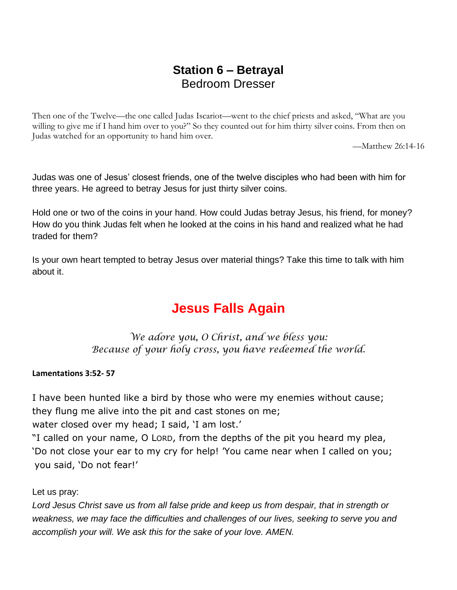### **Station 6 – Betrayal** Bedroom Dresser

Then one of the Twelve—the one called Judas Iscariot—went to the chief priests and asked, "What are you willing to give me if I hand him over to you?" So they counted out for him thirty silver coins. From then on Judas watched for an opportunity to hand him over.

—Matthew 26:14-16

Judas was one of Jesus' closest friends, one of the twelve disciples who had been with him for three years. He agreed to betray Jesus for just thirty silver coins.

Hold one or two of the coins in your hand. How could Judas betray Jesus, his friend, for money? How do you think Judas felt when he looked at the coins in his hand and realized what he had traded for them?

Is your own heart tempted to betray Jesus over material things? Take this time to talk with him about it.

## **Jesus Falls Again**

*We adore you, O Christ, and we bless you: Because of your holy cross, you have redeemed the world.*

**Lamentations 3:52- 57**

I have been hunted like a bird by those who were my enemies without cause; they flung me alive into the pit and cast stones on me; water closed over my head; I said, 'I am lost.'

"I called on your name, O LORD, from the depths of the pit you heard my plea, 'Do not close your ear to my cry for help! 'You came near when I called on you; you said, 'Do not fear!'

Let us pray:

*Lord Jesus Christ save us from all false pride and keep us from despair, that in strength or weakness, we may face the difficulties and challenges of our lives, seeking to serve you and accomplish your will. We ask this for the sake of your love. AMEN.*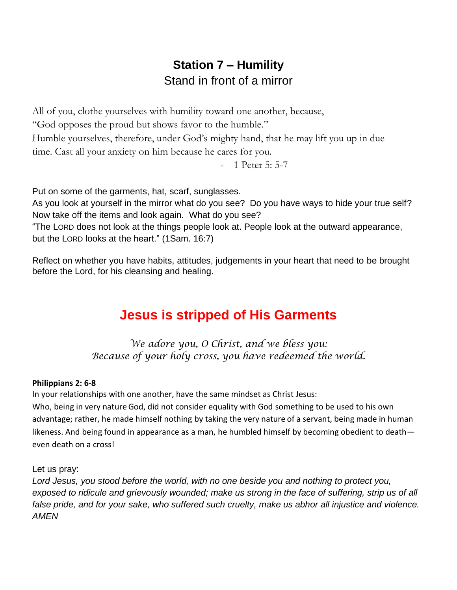## **Station 7 – Humility** Stand in front of a mirror

All of you, clothe yourselves with humility toward one another, because, "God opposes the proud but shows favor to the humble." Humble yourselves, therefore, under God's mighty hand, that he may lift you up in due time. Cast all your anxiety on him because he cares for you.

- 1 Peter 5: 5-7

Put on some of the garments, hat, scarf, sunglasses.

As you look at yourself in the mirror what do you see? Do you have ways to hide your true self? Now take off the items and look again. What do you see?

"The LORD does not look at the things people look at. People look at the outward appearance, but the LORD looks at the heart." (1Sam. 16:7)

Reflect on whether you have habits, attitudes, judgements in your heart that need to be brought before the Lord, for his cleansing and healing.

# **Jesus is stripped of His Garments**

*We adore you, O Christ, and we bless you: Because of your holy cross, you have redeemed the world.*

### **Philippians 2: 6-8**

In your relationships with one another, have the same mindset as Christ Jesus: Who, being in very nature God, did not consider equality with God something to be used to his own advantage; rather, he made himself nothing by taking the very nature of a servant, being made in human likeness. And being found in appearance as a man, he humbled himself by becoming obedient to death even death on a cross!

Let us pray:

*Lord Jesus, you stood before the world, with no one beside you and nothing to protect you, exposed to ridicule and grievously wounded; make us strong in the face of suffering, strip us of all false pride, and for your sake, who suffered such cruelty, make us abhor all injustice and violence. AMEN*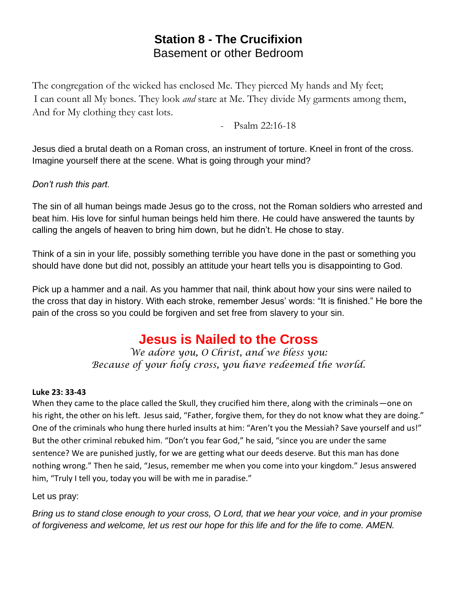### **Station 8 - The Crucifixion** Basement or other Bedroom

The congregation of the wicked has enclosed Me. They pierced My hands and My feet; I can count all My bones. They look *and* stare at Me. They divide My garments among them, And for My clothing they cast lots.

- Psalm 22:16-18

Jesus died a brutal death on a Roman cross, an instrument of torture. Kneel in front of the cross. Imagine yourself there at the scene. What is going through your mind?

*Don't rush this part.*

The sin of all human beings made Jesus go to the cross, not the Roman soldiers who arrested and beat him. His love for sinful human beings held him there. He could have answered the taunts by calling the angels of heaven to bring him down, but he didn't. He chose to stay.

Think of a sin in your life, possibly something terrible you have done in the past or something you should have done but did not, possibly an attitude your heart tells you is disappointing to God.

Pick up a hammer and a nail. As you hammer that nail, think about how your sins were nailed to the cross that day in history. With each stroke, remember Jesus' words: "It is finished." He bore the pain of the cross so you could be forgiven and set free from slavery to your sin.

## **Jesus is Nailed to the Cross**

*We adore you, O Christ, and we bless you: Because of your holy cross, you have redeemed the world.*

### **Luke 23: 33-43**

When they came to the place called the Skull, they crucified him there, along with the criminals—one on his right, the other on his left. Jesus said, "Father, forgive them, for they do not know what they are doing." One of the criminals who hung there hurled insults at him: "Aren't you the Messiah? Save yourself and us!" But the other criminal rebuked him. "Don't you fear God," he said, "since you are under the same sentence? We are punished justly, for we are getting what our deeds deserve. But this man has done nothing wrong." Then he said, "Jesus, remember me when you come into your kingdom." Jesus answered him, "Truly I tell you, today you will be with me in paradise."

Let us pray:

*Bring us to stand close enough to your cross, O Lord, that we hear your voice, and in your promise of forgiveness and welcome, let us rest our hope for this life and for the life to come. AMEN.*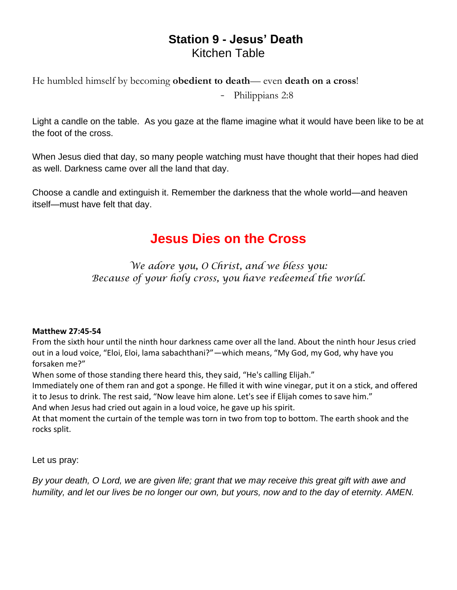### **Station 9 - Jesus' Death** Kitchen Table

He humbled himself by becoming **obedient to death**— even **death on a cross**!

- Philippians 2:8

Light a candle on the table. As you gaze at the flame imagine what it would have been like to be at the foot of the cross.

When Jesus died that day, so many people watching must have thought that their hopes had died as well. Darkness came over all the land that day.

Choose a candle and extinguish it. Remember the darkness that the whole world—and heaven itself—must have felt that day.

## **Jesus Dies on the Cross**

*We adore you, O Christ, and we bless you: Because of your holy cross, you have redeemed the world.*

### **Matthew 27:45-54**

From the sixth hour until the ninth hour darkness came over all the land. About the ninth hour Jesus cried out in a loud voice, "Eloi, Eloi, lama sabachthani?"—which means, "My God, my God, why have you forsaken me?"

When some of those standing there heard this, they said, "He's calling Elijah."

Immediately one of them ran and got a sponge. He filled it with wine vinegar, put it on a stick, and offered it to Jesus to drink. The rest said, "Now leave him alone. Let's see if Elijah comes to save him."

And when Jesus had cried out again in a loud voice, he gave up his spirit.

At that moment the curtain of the temple was torn in two from top to bottom. The earth shook and the rocks split.

Let us pray:

*By your death, O Lord, we are given life; grant that we may receive this great gift with awe and humility, and let our lives be no longer our own, but yours, now and to the day of eternity. AMEN.*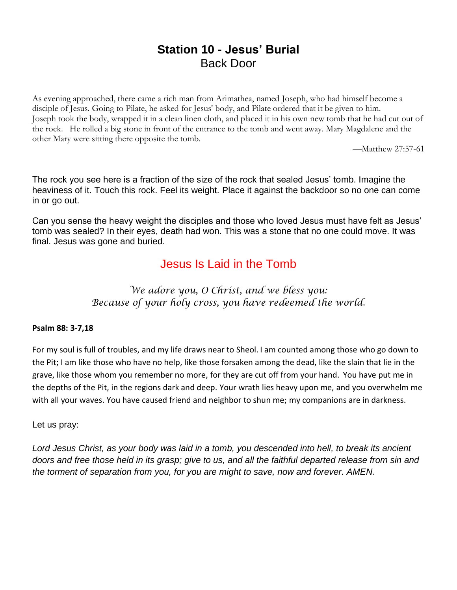### **Station 10 - Jesus' Burial** Back Door

As evening approached, there came a rich man from Arimathea, named Joseph, who had himself become a disciple of Jesus. Going to Pilate, he asked for Jesus' body, and Pilate ordered that it be given to him. Joseph took the body, wrapped it in a clean linen cloth, and placed it in his own new tomb that he had cut out of the rock. He rolled a big stone in front of the entrance to the tomb and went away. Mary Magdalene and the other Mary were sitting there opposite the tomb.

—Matthew 27:57-61

The rock you see here is a fraction of the size of the rock that sealed Jesus' tomb. Imagine the heaviness of it. Touch this rock. Feel its weight. Place it against the backdoor so no one can come in or go out.

Can you sense the heavy weight the disciples and those who loved Jesus must have felt as Jesus' tomb was sealed? In their eyes, death had won. This was a stone that no one could move. It was final. Jesus was gone and buried.

### Jesus Is Laid in the Tomb

### *We adore you, O Christ, and we bless you: Because of your holy cross, you have redeemed the world.*

### **Psalm 88: 3-7,18**

For my soul is full of troubles, and my life draws near to Sheol. I am counted among those who go down to the Pit; I am like those who have no help, like those forsaken among the dead, like the slain that lie in the grave, like those whom you remember no more, for they are cut off from your hand. You have put me in the depths of the Pit, in the regions dark and deep. Your wrath lies heavy upon me, and you overwhelm me with all your waves. You have caused friend and neighbor to shun me; my companions are in darkness.

### Let us pray:

*Lord Jesus Christ, as your body was laid in a tomb, you descended into hell, to break its ancient doors and free those held in its grasp; give to us, and all the faithful departed release from sin and the torment of separation from you, for you are might to save, now and forever. AMEN.*